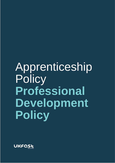# Apprenticeship **Policy Professional Development Policy**

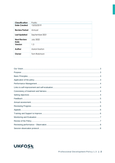| <b>Classification</b>      | Public           |
|----------------------------|------------------|
| <b>Date Created</b>        | 13/03/2019       |
| <b>Review Period</b>       | Annual           |
| <b>Last Updated</b>        | September 2021   |
| <b>Next Review</b><br>Date | <b>July 2022</b> |
| Version                    | 1.3              |
| Author                     | Aaron Saxton     |
| Owner                      | Tom Robinson     |

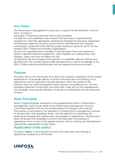# <span id="page-2-0"></span>**Our Vision**

Our Performance Management is a process to support the development of all our team, to improve

the quality of teaching & learning and to raise standards.

The Directors and Leadership team ensures that teaching on apprenticeship programmes meet the appropriate professional standards for teaching, assessment, and learning support by ensuring our recruitment, development and ongoing monitoring is conducted in line with the quality assurance practices set out by the business, ESFA, Ofsted and Awarding Organisations.

All new and supporting team members of the Education Team are required to attend a general induction programme, which explains our underpinning vision, strategy, values, and how we deliver our T&L.

All educators are encouraged and supported to undertake relevant training and development; this includes personal skills development as well as knowledge of the ESFA / Ofsted, educational landscape and the apprenticeship environment.

#### <span id="page-2-1"></span>**Purpose**

This policy sets out the framework for a clear and consistent assessment of the overall performance of all people directly involved in the education and training of our apprentices and for supporting their development within the context of the business's plan for improving apprenticeship provision and performance, and the standards expected of educators and other staff. It also sets out the arrangements that will apply when people fall below the levels of competence that are expected of them.

# <span id="page-2-2"></span>**Basic Principles**

Head of Apprenticeships will report on the Apprenticeship Team's Performance Management and Pay half yearly to the Performance Management and Pay Committee together with any recommendations for changes to the policies. The business is committed to the operation of a Performance Management process for all educators and supporting teams, with the objective of maximising the professional development opportunities and progress of apprentices. The Education Team will ensure that all people involved in the education and training of apprentices have access to the appeals process, advice, training and development opportunities appropriate to their needs.

#### <span id="page-2-3"></span>**Application of the policy**

This policy applies to all everyone involved in the education and training of apprentices employed by UKFast.Net.

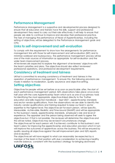# <span id="page-3-0"></span>**Performance Management**

Performance Management is a supportive and developmental process designed to ensure that all educators and trainers have the skills, support and professional development they need to carry out their role effectively. It will help to ensure that people are able to continue to improve and develop their professional practice. The task of managing the performance of Head of Apprenticeships, including the setting of objectives, will be delegated to the Performance Management goals and CPD.

#### <span id="page-3-1"></span>**Links to self-improvement and self-evaluation**

To comply with the requirement to show how the arrangements for performance management link with those for self-improvement and self-evaluation (SEF) and to minimise workload and bureaucracy, the performance management process will be one of the main sources of information as appropriate for self-evaluation and the wider team improvement process.

All reviewers are expected to explore the alignment of reviewees' objectives with the team's priorities and plans. The objectives should also reflect reviewees' professional aspirations, and professional development requirements.

#### <span id="page-3-2"></span>**Consistency of treatment and fairness**

UKFast is committed to ensuring consistency of treatment and fairness in the operation of performance management. To ensure this, the following provisions are made in relation to moderation, quality assurance and objective setting.

# <span id="page-3-3"></span>**Setting objectives**

Objectives for people will be set before or as soon as practicable after, the start of each performance management period. IQTL observations take place once every half year with the core Apprenticeship Team which acts as one of our primary tools for identifying the most appropriate objectives linked directly to the 'Further education and skills inspection handbook – Sept 2021', apprenticeship standards and sector vendor qualifications. From the observations we are able to identify the industry vendor qualifications and training required to keep our team's sector expertise to the highest level. The objectives set for each person, will be Specific, Measurable, Achievable, Realistic and Time-bound (SMART) and will be appropriate to the business's needs, apprenticeship standards, employee's role and level of experience. The appraiser and the person being observed will seek to agree the objectives but, if that is not possible, the reviewer will determine the objectives and this will be noted. Objectives may be revised if circumstances change.

The objectives set for each person will, if achieved, contribute to the business's and team's plans for improving the apprenticeship and education provision which in turn will improve the outcomes of apprentices across the business. This will be ensured by quality assuring all objectives against the self-improvement plan and IQTL reports and evaluation.

The objectives set will have regard to what can reasonably be expected by a member of the team in that position with due consideration to achieving a healthy work-life balance, consistent with the business's strategy for bringing downward

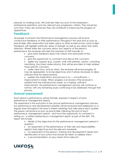pressure on working hours. We shall also take account of the employee's professional aspirations and any relevant pay progression criteria. They should be such that, if they are achieved, they will contribute to improving the progress of apprentices.

# <span id="page-4-0"></span>**Feedback**

All people involved in the Performance Management process will receive constructive feedback on their performance throughout the year and as soon as practicable after observation has taken place or other evidence has come to light. Feedback will highlight particular areas of strength as well as any areas that need attention. Where there are concerns about any aspects of the person's performance the reviewer will meet the member of staff formally to:

- give clear feedback about the nature and seriousness of the concerns;
- give the opportunity to comment and discuss the concerns;
- agree any support (e.g. courses, work with partners, exams, coaching, mentoring, structured observations), that will be provided to help address those specific concerns;

make clear how, and by when, the reviewer will review progress (it may be appropriate to revise objectives, and it will be necessary to allow sufficient time for improvement);

• explain the implications and process if no — or insufficient improvement is made. When progress is reviewed, if the reviewer is satisfied that the individual has made, or is making, sufficient improvement, the performance management process will continue as normal, with any remaining issues continuing to be addressed through that process.

# <span id="page-4-1"></span>**Annual assessment**

Each person's performance will be formally assessed in respect of each performance management period.

This assessment is the end point to the annual performance management process, but performance and development priorities will be reviewed and addressed on a regular basis throughout the year in interim meetings that take place each quarter. The person will receive as soon as practicable following the end of each performance management period - and have the opportunity to comment in writing on - a written performance management report as part of the IQTL. This report will include:

> • details of the objectives for the performance management period in question;

- an assessment of the performance of their role and responsibilities against their objectives and the relevant standards;
- an assessment of the person's training and development needs and identification of any action that should be taken to address them;
- a recommendation on pay where that is relevant

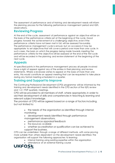The assessment of performance and of training and development needs will inform the planning process for the following performance management period and IQTL observations.

# <span id="page-5-0"></span>**Reviewing Progress**

At the end of the cycle, assessment of performance against an objective will be on the basis of the performance criteria set at the beginning of the cycle. Good progress towards the achievement of a challenging objective, even if the performance criteria have not been met in full, will be assessed favourably. The performance management cycle is annual, but on occasions it may be appropriate to set objectives that will cover a period over more than one cycle. In such cases, the basis on which the progress being made towards meeting the performance criteria for the objective will be assessed at the end of the first cycle and will be recorded in the planning and review statement at the beginning of the next cycle.

# <span id="page-5-1"></span>**Appeals**

At specified points in the performance management process all people involved have a right of appeal against any of the entries in their planning and review statements. Where a reviewee wishes to appeal on the basis of more than one entry, this would constitute an appeal meeting that can be requested to take place during any formal meeting scheduled in a quarter.

#### <span id="page-5-2"></span>**Training and Support to Improve**

The Continuing Professional Development (CPD) programme will be informed by the training and development needs identified in the CPD section of the IQTL review and 1-2-1 PDP quarterly meetings.

CPD will be provided to all members of staff, where appropriate, in order to aid their development of skills and competencies in teaching & learning and relevant subject knowledge.

The provision of CPD will be agreed based on a range of factors including, but not limited to:

- the needs of the organization as identified through internal monitoring
- development needs identified through performance management observations.
- performance appraisal feedback
- the resources available
- whether accreditation or qualification can be achieved to support the business.

CPD can be undertaken through a range of different methods, with some proving more suitable than others dependent on the development needs identified. The organisation will support the following approaches to learning:

- internal training using existing expertise within the organization
- attendance at an external training course

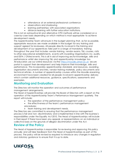- attendance at an external professional conference
- observations and shadowing
- learning partnerships with associated organisations
- distance learning with further education institutions.

This is not an exhaustive list and alternative CPD methods will be considered on a case-by-case basis depending on which method is most appropriate to achieve development needs.

The Apprenticeship Team will ensure in the budget planning that, as far as possible, appropriate resources are made available in the budget for any training and support agreed for reviewees. All people directly involved in the training and development of our apprentices take part in a range of mandatory training throughout the year that includes vendor training, vendor exams, T&L courses, visits to other educational establishments, events with Awarding Organisations inc. audits, and ESFA / Ofsted events. This is all in aid of improving sector knowledge, skills and performance whilst also improving T&L and apprenticeship knowledge too. All educators use our online resources via the [https://moodle.ukfast.ac.uk](https://moodle.ukfast.ac.uk/) secure portal to support their development and help improve their knowledge, skills and performance. This incorporates apprenticeship standards and resources, awarding organisation documents and links, vendor training materials, policy documents and technical articles. A number of apprenticeship courses within the Moodle eLearning environment have been created for all people involved in apprenticeship delivery which contain additional resources, guidance, specifications, assessments and exemplars.

# <span id="page-6-0"></span>**Monitoring and Evaluation**

The Directors will monitor the operation and outcomes of performance management arrangements.

The Head of Apprenticeships will provide the Board of Directors with a report on the operation of the Apprenticeship Team's Performance Management quarterly. The report will include:

- the operation of the performance management policy;
- the effectiveness of the team's performance management procedures;
- team training and development needs.

The Directors are committed to ensuring that the performance management process is fair and non- discriminatory and is implemented in line with the business's responsibilities under the Equality Act 2010. The Head of Apprenticeships will include in their report if there have been any appeals or representations on an individual or collective basis on the grounds of alleged discrimination under the Act.

# <span id="page-6-1"></span>**Review of the Policy**

The Head of Apprenticeships is responsible for reviewing and approving this policy annually and will take feedback from the Head of Apprenticeships as part of this process. The policy will be revised as required to introduce any changes in regulation and statutory guidance to ensure that it is up to date.

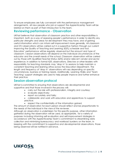To ensure employees are fully conversant with the performance management arrangements, all new people who join or support the Apprenticeship Team will be briefed on them as part of their introduction to the team.

#### <span id="page-7-0"></span>**Reviewing performance - Observation**

UKFast believes that observation of classroom practice and other responsibilities is important, both as a way of assessing people's performance in order to identify any particular strengths and areas for development they may have, and of gaining useful information which can inform self-improvement more generally. All classroom and OTJ observations will be carried out in a supportive fashion through our current Improving the Quality of Teaching and Learning (IQTL) schedule and tool. Educators' performance will be regularly observed but the amount and type of classroom / session observations will depend on the individual circumstances of the educator and the overall needs of the school. Classroom observation will be carried out by those with Qualified Teacher Status (QTS) and/or relevant vendor and sector experience. In addition to formal IQTL observations, Directors or other leaders with responsibility for teaching standards may 'drop in' to sessions to help maintain a consistent teaching and learning ethos across the Education Department. The length and frequency of 'drop in' observations will vary depending on specific circumstances, business or training needs. Additionally, Learning Walks and 'Team Teaching' support strategies are used to help people improve and further enhance their practice.

#### <span id="page-7-1"></span>**Session observation protocol**

UKFast is committed to ensuring that observations are developmental and supportive and that those involved in the process will:

- carry out the role with professionalism, integrity and courtesy;
- evaluate objectively;
- report accurately and fairly;

• collaborate and work with educators and apprentices to support practice;

respect the confidentiality of the information gained.

The amount of observation for each person should reflect and be proportionate to the needs of the individual in the view of the reviewer.

Although an observation is undertaken for this specific purpose, other information gathered during the observation will be used, as appropriate, for a variety of purposes including informing self-evaluation and self-improvement strategies in accordance with the Apprenticeship Team's commitment to streamlining data collection and minimising bureaucracy and workload burdens on the team. In keeping with the commitment to supportive and developmental observations, those being observed will be notified in advance.